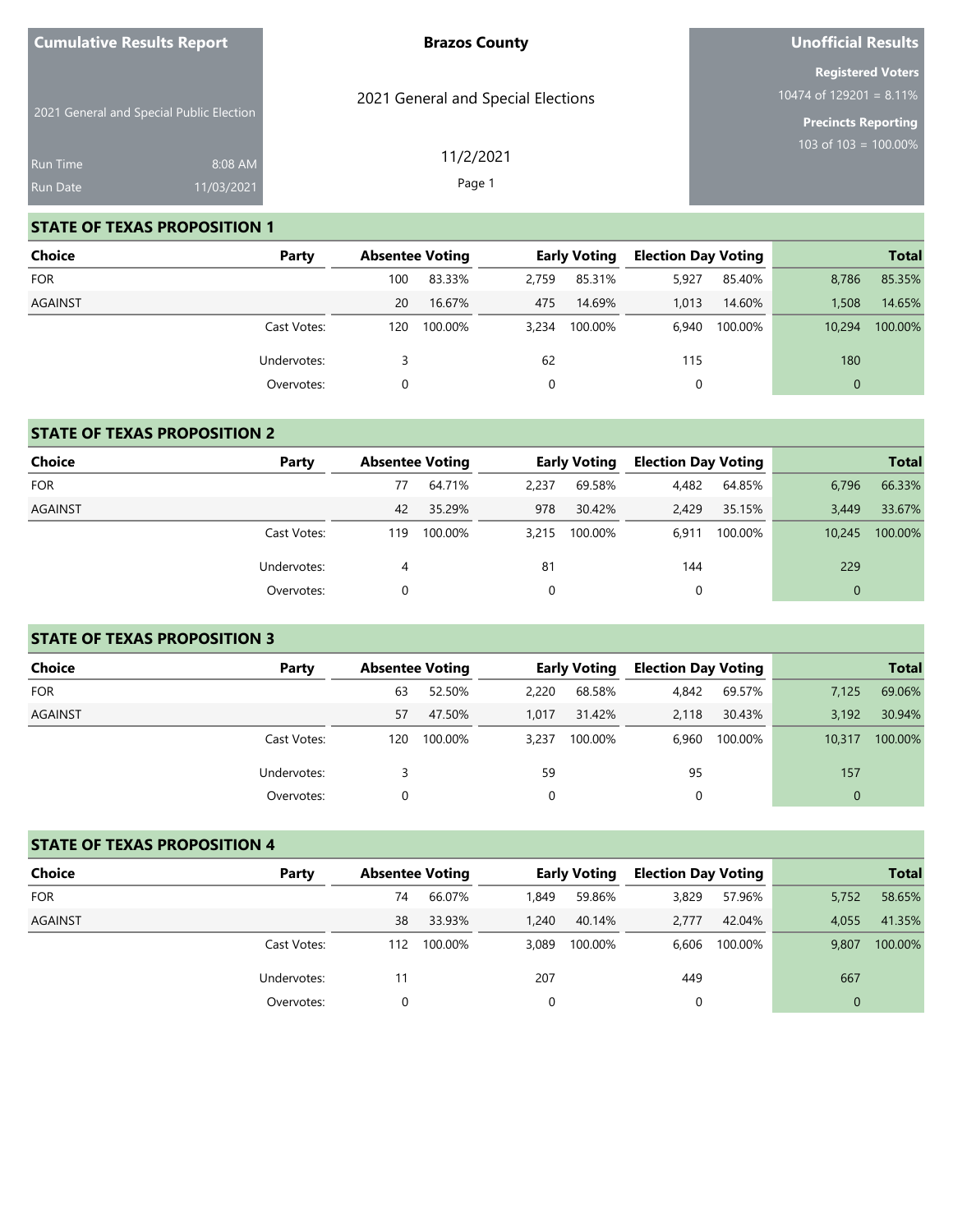| <b>Cumulative Results Report</b> |                                          | <b>Brazos County</b>               | <b>Unofficial Results</b>                                                            |
|----------------------------------|------------------------------------------|------------------------------------|--------------------------------------------------------------------------------------|
|                                  | 2021 General and Special Public Election | 2021 General and Special Elections | <b>Registered Voters</b><br>10474 of 129201 = $8.11\%$<br><b>Precincts Reporting</b> |
| Run Time<br><b>Run Date</b>      | 8:08 AM<br>11/03/2021                    | 11/2/2021<br>Page 1                | 103 of 103 = $100.00\%$                                                              |

### **STATE OF TEXAS PROPOSITION 1**

| Choice         | Party       | <b>Absentee Voting</b> |         |       | <b>Early Voting</b> | <b>Election Day Voting</b> |         |          | <b>Total</b> |
|----------------|-------------|------------------------|---------|-------|---------------------|----------------------------|---------|----------|--------------|
| <b>FOR</b>     |             | 100                    | 83.33%  | 2.759 | 85.31%              | 5,927                      | 85.40%  | 8.786    | 85.35%       |
| <b>AGAINST</b> |             | 20                     | 16.67%  | 475   | 14.69%              | 1.013                      | 14.60%  | 1,508    | 14.65%       |
|                | Cast Votes: | 120                    | 100.00% | 3,234 | 100.00%             | 6.940                      | 100.00% | 10,294   | 100.00%      |
|                | Undervotes: |                        |         | 62    |                     | 115                        |         | 180      |              |
|                | Overvotes:  |                        |         |       |                     | 0                          |         | $\Omega$ |              |

### **STATE OF TEXAS PROPOSITION 2**

| <b>Choice</b>  | Party       |     | <b>Absentee Voting</b> |       | <b>Early Voting</b> | <b>Election Day Voting</b> |         |              | <b>Total</b> |
|----------------|-------------|-----|------------------------|-------|---------------------|----------------------------|---------|--------------|--------------|
| <b>FOR</b>     |             | 77  | 64.71%                 | 2.237 | 69.58%              | 4,482                      | 64.85%  | 6.796        | 66.33%       |
| <b>AGAINST</b> |             | 42  | 35.29%                 | 978   | 30.42%              | 2,429                      | 35.15%  | 3.449        | 33.67%       |
|                | Cast Votes: | 119 | 100.00%                | 3.215 | 100.00%             | 6.911                      | 100.00% | 10,245       | 100.00%      |
|                | Undervotes: | 4   |                        | 81    |                     | 144                        |         | 229          |              |
|                | Overvotes:  |     |                        | 0     |                     | 0                          |         | $\mathbf{0}$ |              |

### **STATE OF TEXAS PROPOSITION 3**

| <b>Choice</b>  | Party       | <b>Absentee Voting</b> |         |       | Early Voting | <b>Election Day Voting</b> |         |             | <b>Total</b> |
|----------------|-------------|------------------------|---------|-------|--------------|----------------------------|---------|-------------|--------------|
| <b>FOR</b>     |             | 63                     | 52.50%  | 2,220 | 68.58%       | 4,842                      | 69.57%  | 7,125       | 69.06%       |
| <b>AGAINST</b> |             | 57                     | 47.50%  | 1.017 | 31.42%       | 2.118                      | 30.43%  | 3,192       | 30.94%       |
|                | Cast Votes: | 120                    | 100.00% | 3,237 | 100.00%      | 6,960                      | 100.00% | 10,317      | 100.00%      |
|                | Undervotes: |                        |         | 59    |              | 95                         |         | 157         |              |
|                | Overvotes:  |                        |         | 0     |              | 0                          |         | $\mathbf 0$ |              |

### **STATE OF TEXAS PROPOSITION 4**

| Choice         | Party       | <b>Absentee Voting</b> |         |       | <b>Early Voting</b> | <b>Election Day Voting</b> |         |              | <b>Total</b> |
|----------------|-------------|------------------------|---------|-------|---------------------|----------------------------|---------|--------------|--------------|
| <b>FOR</b>     |             | 74                     | 66.07%  | 1.849 | 59.86%              | 3,829                      | 57.96%  | 5,752        | 58.65%       |
| <b>AGAINST</b> |             | 38                     | 33.93%  | 1,240 | 40.14%              | 2.777                      | 42.04%  | 4.055        | 41.35%       |
|                | Cast Votes: | 112                    | 100.00% | 3.089 | 100.00%             | 6.606                      | 100.00% | 9,807        | 100.00%      |
|                | Undervotes: | 11                     |         | 207   |                     | 449                        |         | 667          |              |
|                | Overvotes:  |                        |         | 0     |                     | 0                          |         | $\mathbf{0}$ |              |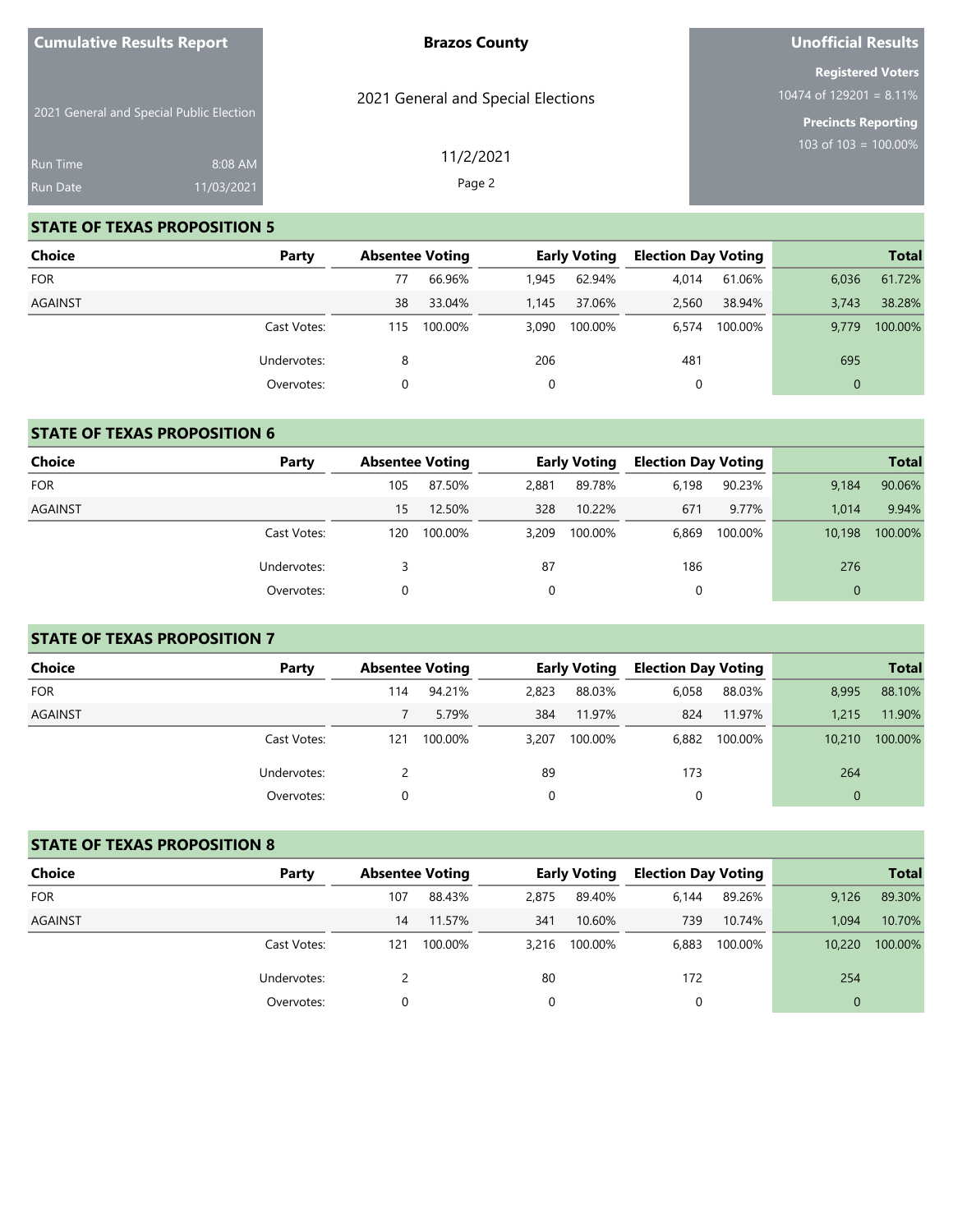| <b>Cumulative Results Report</b> |                                          | <b>Brazos County</b>               | <b>Unofficial Results</b>                              |
|----------------------------------|------------------------------------------|------------------------------------|--------------------------------------------------------|
|                                  |                                          | 2021 General and Special Elections | <b>Registered Voters</b><br>10474 of 129201 = $8.11\%$ |
|                                  | 2021 General and Special Public Election |                                    | <b>Precincts Reporting</b>                             |
| <b>Run Time</b>                  | 8:08 AM                                  | 11/2/2021                          | 103 of 103 = $100.00\%$                                |
| <b>Run Date</b>                  | 11/03/2021                               | Page 2                             |                                                        |

### **STATE OF TEXAS PROPOSITION 5**

| <b>Choice</b>  | Party       | <b>Absentee Voting</b> |         |       | <b>Early Voting</b> | <b>Election Day Voting</b> |         |          | <b>Total</b> |
|----------------|-------------|------------------------|---------|-------|---------------------|----------------------------|---------|----------|--------------|
| <b>FOR</b>     |             | 77                     | 66.96%  | 1.945 | 62.94%              | 4.014                      | 61.06%  | 6.036    | 61.72%       |
| <b>AGAINST</b> |             | 38                     | 33.04%  | 1.145 | 37.06%              | 2,560                      | 38.94%  | 3.743    | 38.28%       |
|                | Cast Votes: | 115                    | 100.00% | 3.090 | 100.00%             | 6.574                      | 100.00% | 9.779    | 100.00%      |
|                | Undervotes: | 8                      |         | 206   |                     | 481                        |         | 695      |              |
|                | Overvotes:  | 0                      |         |       |                     | 0                          |         | $\Omega$ |              |

### **STATE OF TEXAS PROPOSITION 6**

| <b>Choice</b>  | Party       | <b>Absentee Voting</b> |         |       | <b>Early Voting</b> | <b>Election Day Voting</b> |         |          | <b>Total</b> |
|----------------|-------------|------------------------|---------|-------|---------------------|----------------------------|---------|----------|--------------|
| <b>FOR</b>     |             | 105                    | 87.50%  | 2.881 | 89.78%              | 6,198                      | 90.23%  | 9,184    | 90.06%       |
| <b>AGAINST</b> |             | 15                     | 12.50%  | 328   | 10.22%              | 671                        | 9.77%   | 1.014    | 9.94%        |
|                | Cast Votes: | 120                    | 100.00% | 3,209 | 100.00%             | 6,869                      | 100.00% | 10.198   | 100.00%      |
|                | Undervotes: |                        |         | 87    |                     | 186                        |         | 276      |              |
|                | Overvotes:  |                        |         |       |                     | $\Omega$                   |         | $\Omega$ |              |

### **STATE OF TEXAS PROPOSITION 7**

| Choice         | Party       | <b>Absentee Voting</b> |         |       | <b>Early Voting</b> | <b>Election Day Voting</b> |         |              | <b>Total</b> |
|----------------|-------------|------------------------|---------|-------|---------------------|----------------------------|---------|--------------|--------------|
| <b>FOR</b>     |             | 114                    | 94.21%  | 2,823 | 88.03%              | 6,058                      | 88.03%  | 8,995        | 88.10%       |
| <b>AGAINST</b> |             |                        | 5.79%   | 384   | 11.97%              | 824                        | 11.97%  | 1.215        | 11.90%       |
|                | Cast Votes: | 121                    | 100.00% | 3,207 | 100.00%             | 6,882                      | 100.00% | 10,210       | 100.00%      |
|                | Undervotes: |                        |         | 89    |                     | 173                        |         | 264          |              |
|                | Overvotes:  |                        |         | 0     |                     | 0                          |         | $\mathbf{0}$ |              |

### **STATE OF TEXAS PROPOSITION 8**

| <b>Choice</b>  | Party       | <b>Absentee Voting</b> |         |       | <b>Early Voting</b> | <b>Election Day Voting</b> |         |             | <b>Total</b> |
|----------------|-------------|------------------------|---------|-------|---------------------|----------------------------|---------|-------------|--------------|
| <b>FOR</b>     |             | 107                    | 88.43%  | 2.875 | 89.40%              | 6.144                      | 89.26%  | 9,126       | 89.30%       |
| <b>AGAINST</b> |             | 14                     | 11.57%  | 341   | 10.60%              | 739                        | 10.74%  | 1.094       | 10.70%       |
|                | Cast Votes: | 121                    | 100.00% | 3,216 | 100.00%             | 6,883                      | 100.00% | 10,220      | 100.00%      |
|                | Undervotes: |                        |         | 80    |                     | 172                        |         | 254         |              |
|                | Overvotes:  |                        |         | 0     |                     | 0                          |         | $\mathbf 0$ |              |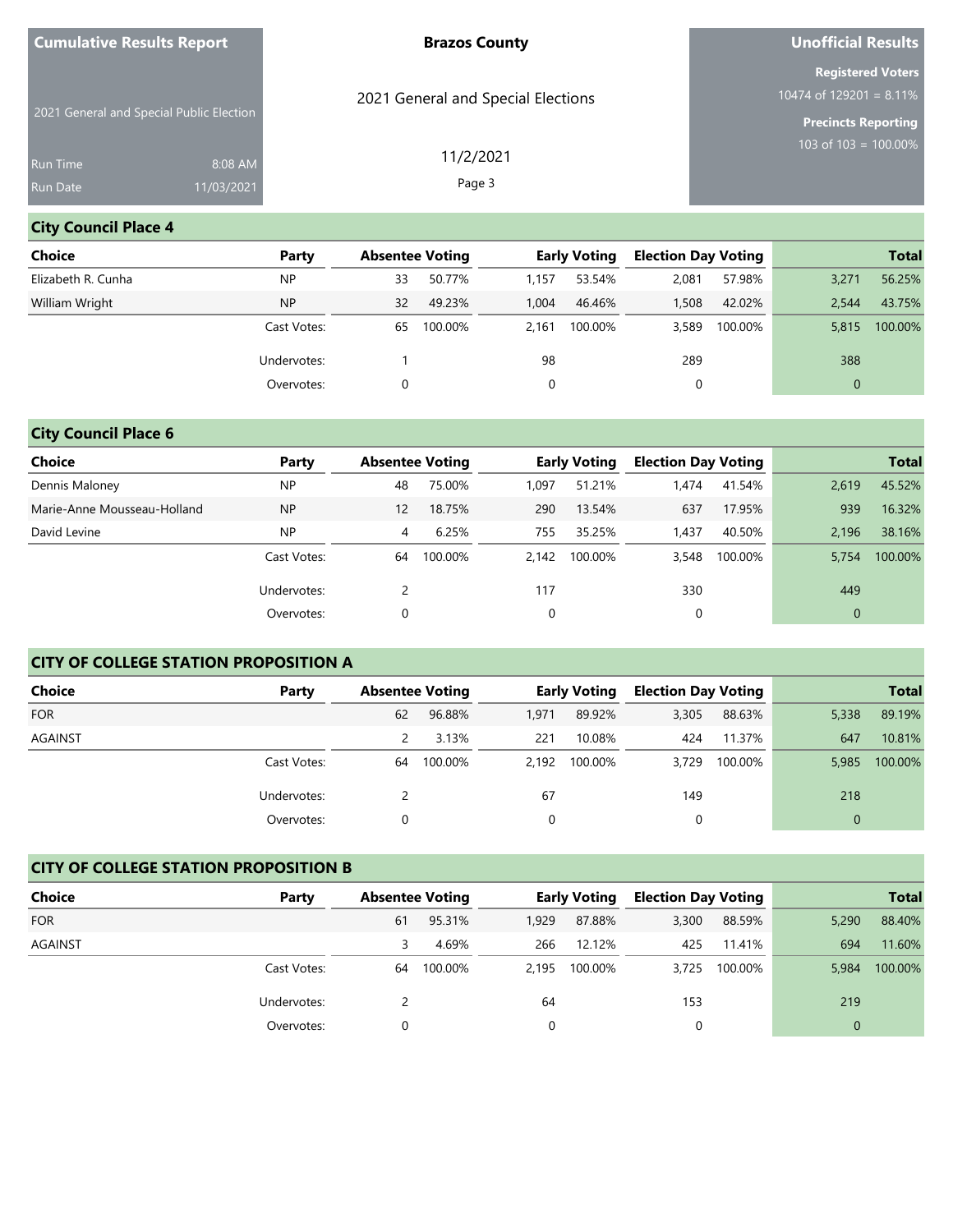| <b>Cumulative Results Report</b>                            | <b>Brazos County</b>               | <b>Unofficial Results</b>                                                            |
|-------------------------------------------------------------|------------------------------------|--------------------------------------------------------------------------------------|
| 2021 General and Special Public Election                    | 2021 General and Special Elections | <b>Registered Voters</b><br>10474 of 129201 = $8.11\%$<br><b>Precincts Reporting</b> |
| 8:08 AM<br><b>Run Time</b><br><b>Run Date</b><br>11/03/2021 | 11/2/2021<br>Page 3                | 103 of 103 = $100.00\%$                                                              |

# **City Council Place 4**

| Choice             | Party       | <b>Absentee Voting</b> |         |       | <b>Early Voting</b> | <b>Election Day Voting</b> |         |              | <b>Total</b> |
|--------------------|-------------|------------------------|---------|-------|---------------------|----------------------------|---------|--------------|--------------|
| Elizabeth R. Cunha | <b>NP</b>   | 33                     | 50.77%  | 1.157 | 53.54%              | 2,081                      | 57.98%  | 3,271        | 56.25%       |
| William Wright     | <b>NP</b>   | 32                     | 49.23%  | 1.004 | 46.46%              | 1,508                      | 42.02%  | 2.544        | 43.75%       |
|                    | Cast Votes: | 65                     | 100.00% | 2.161 | 100.00%             | 3.589                      | 100.00% | 5,815        | 100.00%      |
|                    | Undervotes: |                        |         | 98    |                     | 289                        |         | 388          |              |
|                    | Overvotes:  | 0                      |         |       |                     | 0                          |         | $\mathbf{0}$ |              |

# **City Council Place 6**

| Choice                      | Party       | <b>Absentee Voting</b> |         |       | <b>Early Voting</b> | <b>Election Day Voting</b> |         |                | <b>Total</b> |
|-----------------------------|-------------|------------------------|---------|-------|---------------------|----------------------------|---------|----------------|--------------|
| Dennis Maloney              | <b>NP</b>   | 48                     | 75.00%  | 1,097 | 51.21%              | 1.474                      | 41.54%  | 2,619          | 45.52%       |
| Marie-Anne Mousseau-Holland | <b>NP</b>   | 12                     | 18.75%  | 290   | 13.54%              | 637                        | 17.95%  | 939            | 16.32%       |
| David Levine                | <b>NP</b>   | 4                      | 6.25%   | 755   | 35.25%              | 1.437                      | 40.50%  | 2.196          | 38.16%       |
|                             | Cast Votes: | 64                     | 100.00% | 2.142 | 100.00%             | 3,548                      | 100.00% | 5.754          | 100.00%      |
|                             | Undervotes: |                        |         | 117   |                     | 330                        |         | 449            |              |
|                             | Overvotes:  | 0                      |         | 0     |                     |                            |         | $\overline{0}$ |              |

# **CITY OF COLLEGE STATION PROPOSITION A**

| <b>Choice</b>  | Party       | <b>Absentee Voting</b> |         |       | <b>Early Voting</b> | <b>Election Day Voting</b> |         |       | <b>Total</b> |
|----------------|-------------|------------------------|---------|-------|---------------------|----------------------------|---------|-------|--------------|
| <b>FOR</b>     |             | 62                     | 96.88%  | 1,971 | 89.92%              | 3,305                      | 88.63%  | 5,338 | 89.19%       |
| <b>AGAINST</b> |             |                        | 3.13%   | 221   | 10.08%              | 424                        | 11.37%  | 647   | 10.81%       |
|                | Cast Votes: | 64                     | 100.00% | 2.192 | 100.00%             | 3.729                      | 100.00% | 5.985 | 100.00%      |
|                | Undervotes: |                        |         | 67    |                     | 149                        |         | 218   |              |
|                | Overvotes:  |                        |         | 0     |                     | 0                          |         |       |              |

# **CITY OF COLLEGE STATION PROPOSITION B**

| <b>Choice</b>  | Party       | <b>Absentee Voting</b> |         |          | <b>Early Voting</b> | <b>Election Day Voting</b> |         |          | <b>Total</b> |
|----------------|-------------|------------------------|---------|----------|---------------------|----------------------------|---------|----------|--------------|
| <b>FOR</b>     |             | 61                     | 95.31%  | 1,929    | 87.88%              | 3,300                      | 88.59%  | 5,290    | 88.40%       |
| <b>AGAINST</b> |             |                        | 4.69%   | 266      | 12.12%              | 425                        | 11.41%  | 694      | 11.60%       |
|                | Cast Votes: | 64                     | 100.00% | 2.195    | 100.00%             | 3,725                      | 100.00% | 5,984    | 100.00%      |
|                | Undervotes: |                        |         | 64       |                     | 153                        |         | 219      |              |
|                | Overvotes:  |                        |         | $\Omega$ |                     |                            |         | $\Omega$ |              |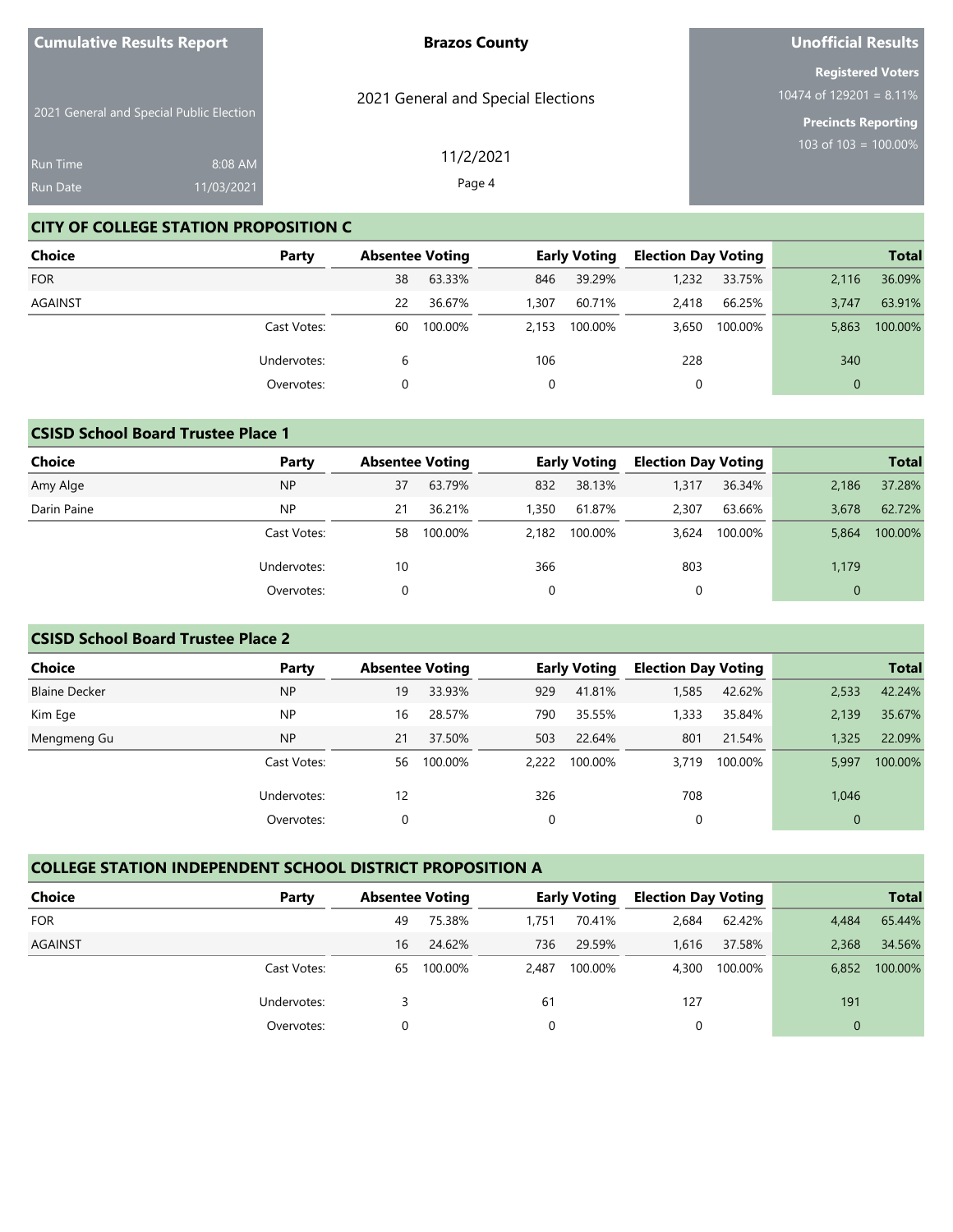| <b>Cumulative Results Report</b>   |                                          | <b>Brazos County</b>               | <b>Unofficial Results</b>                                                            |
|------------------------------------|------------------------------------------|------------------------------------|--------------------------------------------------------------------------------------|
|                                    | 2021 General and Special Public Election | 2021 General and Special Elections | <b>Registered Voters</b><br>10474 of 129201 = $8.11\%$<br><b>Precincts Reporting</b> |
| <b>Run Time</b><br><b>Run Date</b> | 8:08 AM<br>11/03/2021                    | 11/2/2021<br>Page 4                | $103 \text{ of } 103 = 100.00\%$                                                     |

# **CITY OF COLLEGE STATION PROPOSITION C**

| Choice         | Party       | <b>Absentee Voting</b> |         |          | <b>Early Voting</b> | <b>Election Day Voting</b> |         |       | <b>Total</b> |
|----------------|-------------|------------------------|---------|----------|---------------------|----------------------------|---------|-------|--------------|
| <b>FOR</b>     |             | 38                     | 63.33%  | 846      | 39.29%              | 1,232                      | 33.75%  | 2,116 | 36.09%       |
| <b>AGAINST</b> |             | 22                     | 36.67%  | 1,307    | 60.71%              | 2.418                      | 66.25%  | 3,747 | 63.91%       |
|                | Cast Votes: | 60                     | 100.00% | 2.153    | 100.00%             | 3,650                      | 100.00% | 5,863 | 100.00%      |
|                | Undervotes: | b                      |         | 106      |                     | 228                        |         | 340   |              |
|                | Overvotes:  |                        |         | $\Omega$ |                     |                            |         |       |              |

# **CSISD School Board Trustee Place 1**

| <b>Choice</b> | Party       | <b>Absentee Voting</b> |         |       | Early Voting | <b>Election Day Voting</b> |         |       | <b>Total</b> |
|---------------|-------------|------------------------|---------|-------|--------------|----------------------------|---------|-------|--------------|
| Amy Alge      | <b>NP</b>   | 37                     | 63.79%  | 832   | 38.13%       | 1,317                      | 36.34%  | 2.186 | 37.28%       |
| Darin Paine   | <b>NP</b>   | 21                     | 36.21%  | 1,350 | 61.87%       | 2,307                      | 63.66%  | 3,678 | 62.72%       |
|               | Cast Votes: | 58                     | 100.00% | 2.182 | 100.00%      | 3,624                      | 100.00% | 5,864 | 100.00%      |
|               | Undervotes: | 10                     |         | 366   |              | 803                        |         | 1,179 |              |
|               | Overvotes:  |                        |         | 0     |              |                            |         |       |              |

### **CSISD School Board Trustee Place 2**

| Choice               | Party       | <b>Absentee Voting</b> |         |       | <b>Early Voting</b> | <b>Election Day Voting</b> |         |              | <b>Total</b> |
|----------------------|-------------|------------------------|---------|-------|---------------------|----------------------------|---------|--------------|--------------|
| <b>Blaine Decker</b> | <b>NP</b>   | 19                     | 33.93%  | 929   | 41.81%              | 1,585                      | 42.62%  | 2,533        | 42.24%       |
| Kim Ege              | <b>NP</b>   | 16                     | 28.57%  | 790   | 35.55%              | 1,333                      | 35.84%  | 2.139        | 35.67%       |
| Mengmeng Gu          | <b>NP</b>   | 21                     | 37.50%  | 503   | 22.64%              | 801                        | 21.54%  | 1,325        | 22.09%       |
|                      | Cast Votes: | 56                     | 100.00% | 2.222 | 100.00%             | 3.719                      | 100.00% | 5,997        | 100.00%      |
|                      | Undervotes: | 12                     |         | 326   |                     | 708                        |         | 1,046        |              |
|                      | Overvotes:  |                        |         |       |                     |                            |         | $\mathbf{0}$ |              |

# **COLLEGE STATION INDEPENDENT SCHOOL DISTRICT PROPOSITION A**

| <b>Choice</b>  | Party       | <b>Absentee Voting</b> |         |       | <b>Early Voting</b> | <b>Election Day Voting</b> |         |          | <b>Total</b> |
|----------------|-------------|------------------------|---------|-------|---------------------|----------------------------|---------|----------|--------------|
| <b>FOR</b>     |             | 49                     | 75.38%  | 1.751 | 70.41%              | 2,684                      | 62.42%  | 4,484    | 65.44%       |
| <b>AGAINST</b> |             | 16                     | 24.62%  | 736   | 29.59%              | 1.616                      | 37.58%  | 2,368    | 34.56%       |
|                | Cast Votes: | 65                     | 100.00% | 2.487 | 100.00%             | 4,300                      | 100.00% | 6.852    | 100.00%      |
|                | Undervotes: |                        |         | 61    |                     | 127                        |         | 191      |              |
|                | Overvotes:  | $\Omega$               |         | 0     |                     | 0                          |         | $\Omega$ |              |